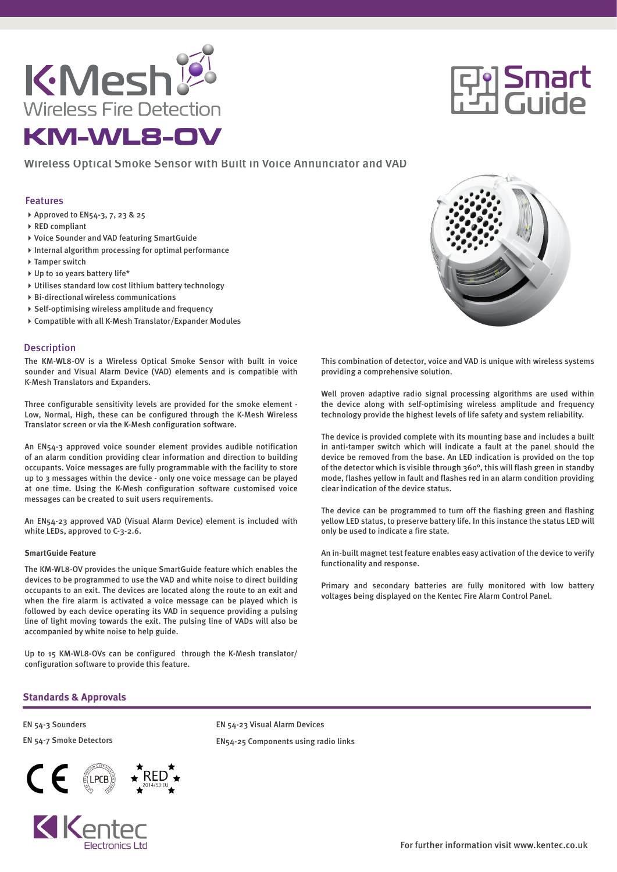

# **回答**<br>Francuide

# Wireless Optical Smoke Sensor with Built in Voice Annunciator and VAD

### Features

- ▶ Approved to EN54-3, 7, 23 & 25
- ▶ RED compliant
- Voice Sounder and VAD featuring SmartGuide
- $\triangleright$  Internal algorithm processing for optimal performance
- ▶ Tamper switch
- ▶ Up to 10 years battery life\*
- Utilises standard low cost lithium battery technology
- Bi-directional wireless communications
- Self-optimising wireless amplitude and frequency
- Compatible with all K-Mesh Translator/Expander Modules

### **Description**

The KM-WL8-OV is a Wireless Optical Smoke Sensor with built in voice sounder and Visual Alarm Device (VAD) elements and is compatible with K-Mesh Translators and Expanders.

Three configurable sensitivity levels are provided for the smoke element - Low, Normal, High, these can be configured through the K-Mesh Wireless Translator screen or via the K-Mesh configuration software.

An EN54-3 approved voice sounder element provides audible notification of an alarm condition providing clear information and direction to building occupants. Voice messages are fully programmable with the facility to store up to 3 messages within the device - only one voice message can be played at one time. Using the K-Mesh configuration software customised voice messages can be created to suit users requirements.

An EN54-23 approved VAD (Visual Alarm Device) element is included with white LEDs, approved to C-3-2.6.

### **SmartGuide Feature**

The KM-WL8-OV provides the unique SmartGuide feature which enables the devices to be programmed to use the VAD and white noise to direct building occupants to an exit. The devices are located along the route to an exit and when the fire alarm is activated a voice message can be played which is followed by each device operating its VAD in sequence providing a pulsing line of light moving towards the exit. The pulsing line of VADs will also be accompanied by white noise to help guide.

Up to 15 KM-WL8-OVs can be configured through the K-Mesh translator/ configuration software to provide this feature.



This combination of detector, voice and VAD is unique with wireless systems providing a comprehensive solution.

Well proven adaptive radio signal processing algorithms are used within the device along with self-optimising wireless amplitude and frequency technology provide the highest levels of life safety and system reliability.

The device is provided complete with its mounting base and includes a built in anti-tamper switch which will indicate a fault at the panel should the device be removed from the base. An LED indication is provided on the top of the detector which is visible through 360°, this will flash green in standby mode, flashes yellow in fault and flashes red in an alarm condition providing clear indication of the device status.

The device can be programmed to turn off the flashing green and flashing yellow LED status, to preserve battery life. In this instance the status LED will only be used to indicate a fire state.

An in-built magnet test feature enables easy activation of the device to verify functionality and response.

Primary and secondary batteries are fully monitored with low battery voltages being displayed on the Kentec Fire Alarm Control Panel.

## **Standards & Approvals**

EN 54-3 Sounders EN 54-7 Smoke Detectors





EN 54-23 Visual Alarm Devices EN54-25 Components using radio links